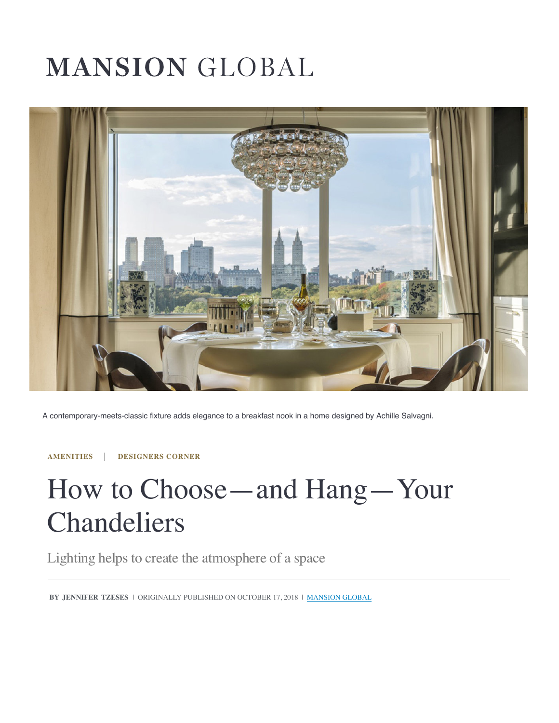# **MANSION GLOBAL**



A contemporary-meets-classic fixture adds elegance to a breakfast nook in a home designed by Achille Salvagni.

**AMENITIES DESIGNERS CORNER**

## How to Choose—and Hang—Your Chandeliers

[Lighting h](https://www.mansionglobal.com/luxury-real-estate-news/subject/subject-amenities)[elps to create the](https://www.mansionglobal.com/luxury-real-estate-news/subject/subject-designers-corner) atmosphere of a space

**BY JENNIFER TZESES** | ORIGINALLY PUBLISHED ON OCTOBER 17, 2018 | MANSION GLOBAL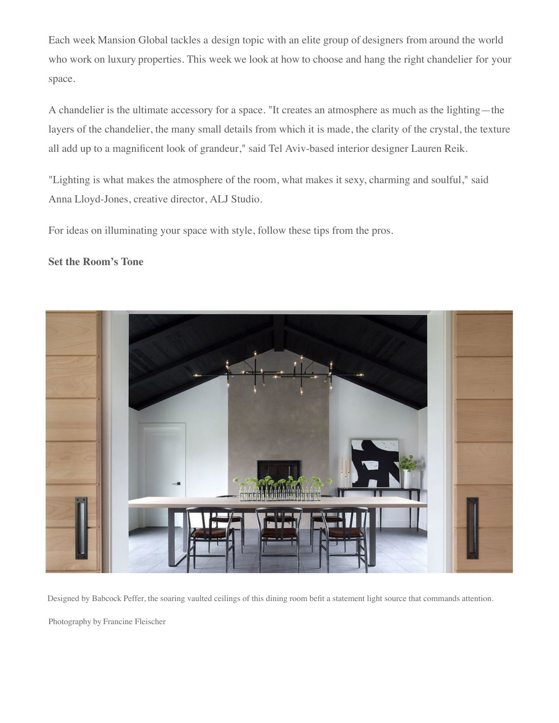Each week Mansion Global tackles a design topic with an elite group of designers from around the world who work on luxury properties. This week we look at how to choose and hang the right chandelier for your space.

A chandelier is the ultimate accessory for a space. "It creates an atmosphere as much as the lighting—the layers of the chandelier, the many small details from which it is made, the clarity of the crystal, the texture all add up to a magnificent look of grandeur," said Tel Aviv-based interior designer Lauren Reik.

"Lighting is what makes the atmosphere of the room, what makes it sexy, charming and soulful," said Anna Lloyd-Jones, creative director, ALJ Studio.

For ideas on illuminating your space with style, follow these tips from the pros.

#### **Set the Room's Tone**



Designed by Babcock Peffer, the soaring vaulted ceilings of this dining room befit a statement light source that commands attention.

Photography by Francine Fleischer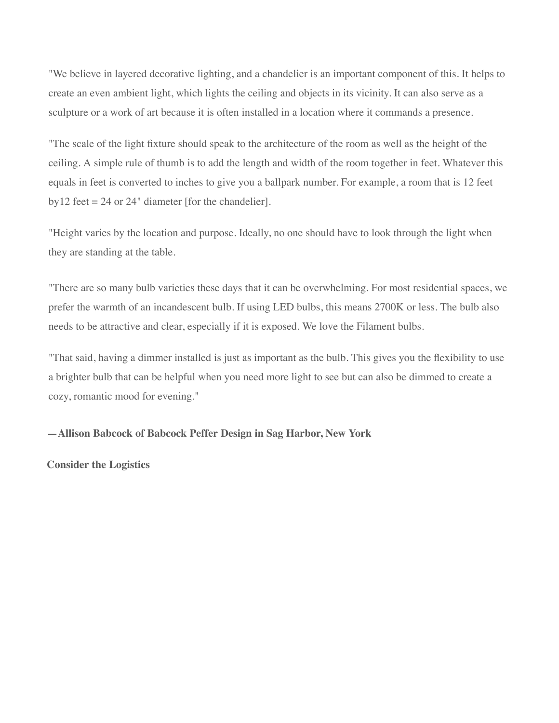"We believe in layered decorative lighting, and a chandelier is an important component of this. It helps to create an even ambient light, which lights the ceiling and objects in its vicinity. It can also serve as a sculpture or a work of art because it is often installed in a location where it commands a presence.

"The scale of the light fixture should speak to the architecture of the room as well as the height of the ceiling. A simple rule of thumb is to add the length and width of the room together in feet. Whatever this equals in feet is converted to inches to give you a ballpark number. For example, a room that is 12 feet  $by12$  feet = 24 or 24" diameter [for the chandelier].

"Height varies by the location and purpose. Ideally, no one should have to look through the light when they are standing at the table.

"There are so man[y bulb varieties these days that it can be overwhelming. For most resid](https://twitter.com/MansionGlobal/status/1051204343112880128/photo/1)ential spaces, we prefer the warmth of an incandescent bulb. If using LED bulbs, this means 2700K or less. The bulb also needs to be attractive and clear, especially if it is exposed. We love the Filament bulbs.

"That said, having a dimmer installed is just as important as the bulb. This gives you the flexibility to use a brighter bulb that can be helpful when you need mo[re light to see but can also be dimm](https://twitter.com/MansionGlobal/status/1051204343112880128/photo/1)ed to create a cozy, romantic mood for evening."

#### **—Allison Babcock o[f Babcock Peffer Design in](https://twitter.com/MansionGlobal) Sag Harbor, New York**

**Consider the Logistics**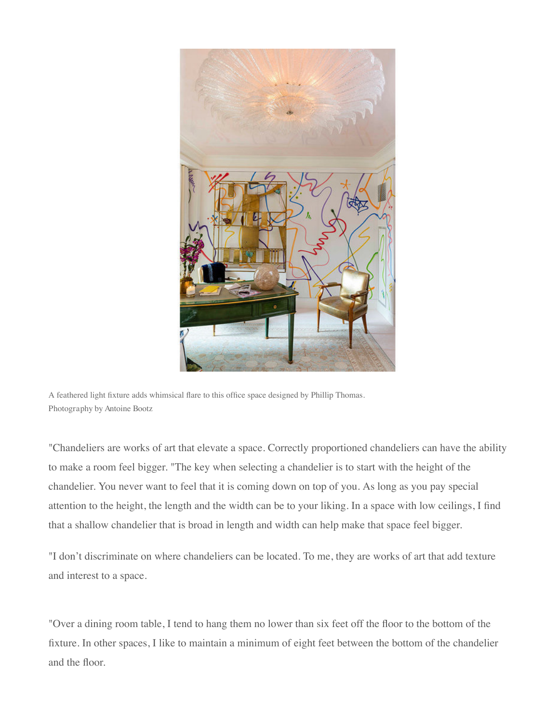

A feathered light fixture adds whimsical flare to this office space designed by Phillip Thomas. Photography by Antoine Bootz

"Chandeliers are works of art that elevate a space. Correctly proportioned chandeliers can have the ability to make a room feel bigger. "The key when selecting a chandelier is to start with the height of the chandelier. You never want to feel that it is coming down on top of you. As long as you pay special attention to the height, the length and the width can be to your liking. In a space with low ceilings, I find that a shallow chandelier that is broad in length and width can help make that space feel bigger.

"I don't discriminate on where chandeliers can be located. To me, they are works of art that add texture and interest to a space.

"Over a dining room table, I tend to hang them no lower than six feet off the floor to the bottom of the fixture. In other spaces, I like to maintain a minimum of eight feet between the bottom of the chandelier and the floor.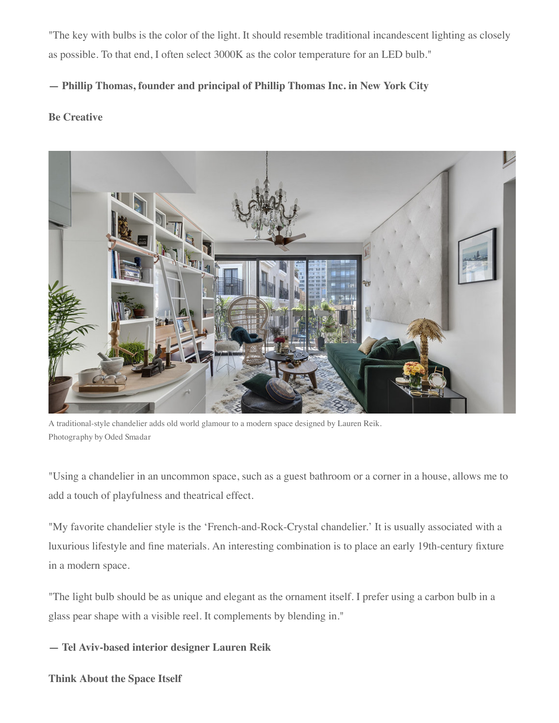"The key with bulbs is the color of the light. It should resemble traditional incandescent lighting as closely as possible. To that end, I often select 3000K as the color temperature for an LED bulb."

## **— Phillip Thomas, founder and principal of Phillip Thomas Inc. in New York City**

### **Be Creative**



A traditional-style chandelier adds old world glamour to a modern space designed by Lauren Reik. Photography by Oded Smadar

"Using a chandelier in an uncommon space, such as a guest bathroom or a corner in a house, allows me to add a touch of playfulness and theatrical effect.

"My favorite chandelier style is the 'French-and-Rock-Crystal chandelier.' It is usually associated with a luxurious lifestyle and fine materials. An interesting combination is to place an early 19th-century fixture in a modern space.

"The light bulb should be as unique and elegant as the ornament itself. I prefer using a carbon bulb in a glass pear shape with a visible reel. It complements by blending in."

**— Tel Aviv-based interior designer Lauren Reik**

**Think About the Space Itself**